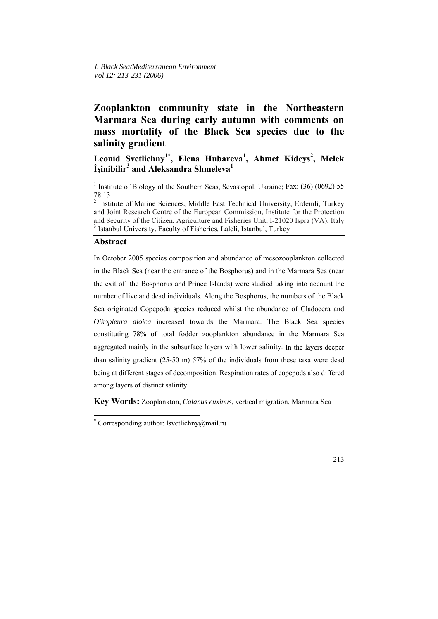**Zooplankton community state in the Northeastern Marmara Sea during early autumn with comments on mass mortality of the Black Sea species due to the salinity gradient** 

Leonid Svetlichny<sup>1\*</sup>, Elena Hubareva<sup>1</sup>, Ahmet Kideys<sup>2</sup>, Melek **İşinibilir3 and Aleksandra Shmeleva1** 

<sup>1</sup> Institute of Biology of the Southern Seas, Sevastopol, Ukraine; Fax: (36) (0692) 55 78 13

### **Abstract**

In October 2005 species composition and abundance of mesozooplankton collected in the Black Sea (near the entrance of the Bosphorus) and in the Marmara Sea (near the exit of the Bosphorus and Prince Islands) were studied taking into account the number of live and dead individuals. Along the Bosphorus, the numbers of the Black Sea originated Copepoda species reduced whilst the abundance of Cladocera and *Oikopleura dioica* increased towards the Marmara. The Black Sea species constituting 78% of total fodder zooplankton abundance in the Marmara Sea aggregated mainly in the subsurface layers with lower salinity. In the layers deeper than salinity gradient (25-50 m) 57% of the individuals from these taxa were dead being at different stages of decomposition. Respiration rates of copepods also differed among layers of distinct salinity.

**Key Words:** Zooplankton, *Calanus euxinus*, vertical migration, Marmara Sea

<sup>&</sup>lt;sup>2</sup> Institute of Marine Sciences, Middle East Technical University, Erdemli, Turkey and Joint Research Centre of the European Commission, Institute for the Protection and Security of the Citizen, Agriculture and Fisheries Unit, I-21020 Ispra (VA), Italy <sup>3</sup> <sup>3</sup> Istanbul University, Faculty of Fisheries, Laleli, Istanbul, Turkey

 \* Corresponding author: lsvetlichny@mail.ru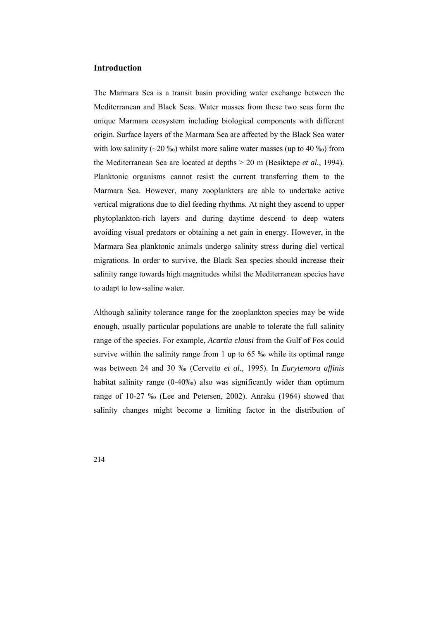### **Introduction**

The Marmara Sea is a transit basin providing water exchange between the Mediterranean and Black Seas. Water masses from these two seas form the unique Marmara ecosystem including biological components with different origin. Surface layers of the Marmara Sea are affected by the Black Sea water with low salinity ( $\sim$ 20 ‰) whilst more saline water masses (up to 40 ‰) from the Mediterranean Sea are located at depths > 20 m (Besiktepe *et al.*, 1994). Planktonic organisms cannot resist the current transferring them to the Marmara Sea. However, many zooplankters are able to undertake active vertical migrations due to diel feeding rhythms. At night they ascend to upper phytoplankton-rich layers and during daytime descend to deep waters avoiding visual predators or obtaining a net gain in energy. However, in the Marmara Sea planktonic animals undergo salinity stress during diel vertical migrations. In order to survive, the Black Sea species should increase their salinity range towards high magnitudes whilst the Mediterranean species have to adapt to low-saline water.

Although salinity tolerance range for the zooplankton species may be wide enough, usually particular populations are unable to tolerate the full salinity range of the species. For example, *Acartia clausi* from the Gulf of Fos could survive within the salinity range from 1 up to 65 ‰ while its optimal range was between 24 and 30 ‰ (Cervetto *et al.,* 1995). In *Eurytemora affinis* habitat salinity range (0-40‰) also was significantly wider than optimum range of 10-27 ‰ (Lee and Petersen, 2002). Anraku (1964) showed that salinity changes might become a limiting factor in the distribution of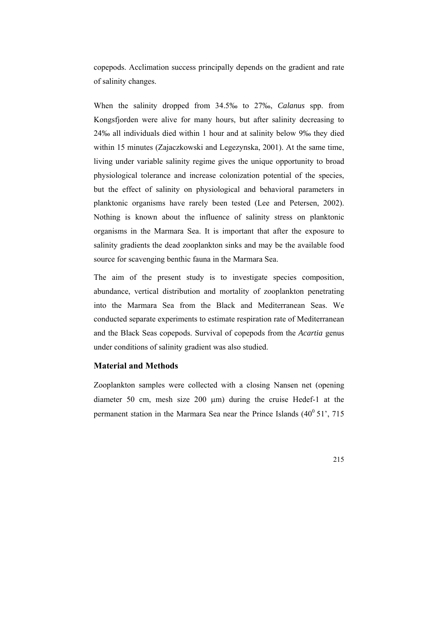copepods. Acclimation success principally depends on the gradient and rate of salinity changes.

When the salinity dropped from 34.5‰ to 27‰, *Calanus* spp. from Kongsfjorden were alive for many hours, but after salinity decreasing to 24‰ all individuals died within 1 hour and at salinity below 9‰ they died within 15 minutes (Zajaczkowski and Legezynska, 2001). At the same time, living under variable salinity regime gives the unique opportunity to broad physiological tolerance and increase colonization potential of the species, but the effect of salinity on physiological and behavioral parameters in planktonic organisms have rarely been tested (Lee and Petersen, 2002). Nothing is known about the influence of salinity stress on planktonic organisms in the Marmara Sea. It is important that after the exposure to salinity gradients the dead zooplankton sinks and may be the available food source for scavenging benthic fauna in the Marmara Sea.

The aim of the present study is to investigate species composition, abundance, vertical distribution and mortality of zooplankton penetrating into the Marmara Sea from the Black and Mediterranean Seas. We conducted separate experiments to estimate respiration rate of Mediterranean and the Black Seas copepods. Survival of copepods from the *Acartia* genus under conditions of salinity gradient was also studied.

# **Material and Methods**

Zooplankton samples were collected with a closing Nansen net (opening diameter 50 cm, mesh size 200 µm) during the cruise Hedef-1 at the permanent station in the Marmara Sea near the Prince Islands  $(40^{\circ}51^{\circ}, 715^{\circ})$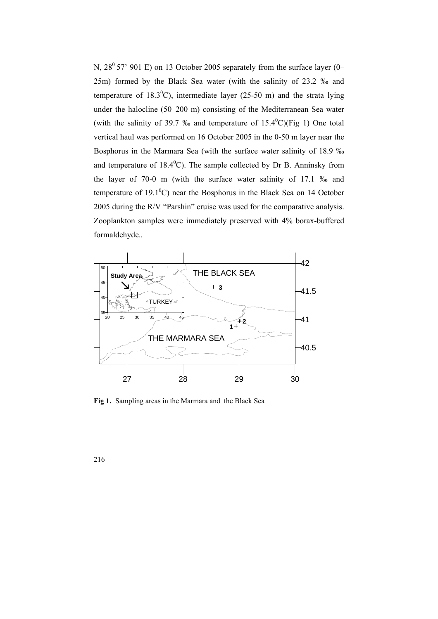N,  $28^{\circ}$  57' 901 E) on 13 October 2005 separately from the surface layer (0– 25m) formed by the Black Sea water (with the salinity of 23.2 ‰ and temperature of  $18.3^{\circ}$ C), intermediate layer (25-50 m) and the strata lying under the halocline (50–200 m) consisting of the Mediterranean Sea water (with the salinity of 39.7  $\%$  and temperature of 15.4 $\mathrm{^0C}$ )(Fig 1) One total vertical haul was performed on 16 October 2005 in the 0-50 m layer near the Bosphorus in the Marmara Sea (with the surface water salinity of 18.9 ‰ and temperature of  $18.4^{\circ}$ C). The sample collected by Dr B. Anninsky from the layer of 70-0 m (with the surface water salinity of 17.1 ‰ and temperature of 19.1 $\degree$ C) near the Bosphorus in the Black Sea on 14 October 2005 during the R/V "Parshin" cruise was used for the comparative analysis. Zooplankton samples were immediately preserved with 4% borax-buffered formaldehyde..



**Fig 1.** Sampling areas in the Marmara and the Black Sea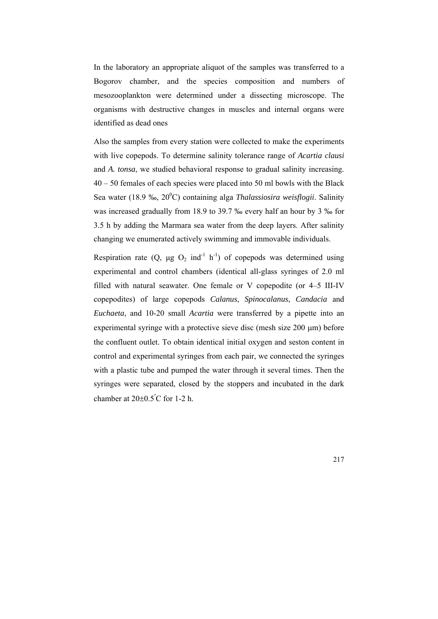In the laboratory an appropriate aliquot of the samples was transferred to a Bogorov chamber, and the species composition and numbers of mesozooplankton were determined under a dissecting microscope. The organisms with destructive changes in muscles and internal organs were identified as dead ones

Also the samples from every station were collected to make the experiments with live copepods. To determine salinity tolerance range of *Acartia clausi* and *A. tonsa*, we studied behavioral response to gradual salinity increasing. 40 – 50 females of each species were placed into 50 ml bowls with the Black Sea water (18.9 ‰, 20<sup>0</sup>C) containing alga *Thalassiosira weisflogii*. Salinity was increased gradually from 18.9 to 39.7 ‰ every half an hour by 3 ‰ for 3.5 h by adding the Marmara sea water from the deep layers. After salinity changing we enumerated actively swimming and immovable individuals.

Respiration rate (O,  $\mu$ g O<sub>2</sub> ind<sup>-1</sup> h<sup>-1</sup>) of copepods was determined using experimental and control chambers (identical all-glass syringes of 2.0 ml filled with natural seawater. One female or V copepodite (or 4–5 III-IV copepodites) of large copepods *Calanus*, *Spinocalanus*, *Candacia* and *Euchaeta*, and 10-20 small *Acartia* were transferred by a pipette into an experimental syringe with a protective sieve disc (mesh size  $200 \mu m$ ) before the confluent outlet. To obtain identical initial oxygen and seston content in control and experimental syringes from each pair, we connected the syringes with a plastic tube and pumped the water through it several times. Then the syringes were separated, closed by the stoppers and incubated in the dark chamber at  $20\pm0.5^{\circ}$ C for 1-2 h.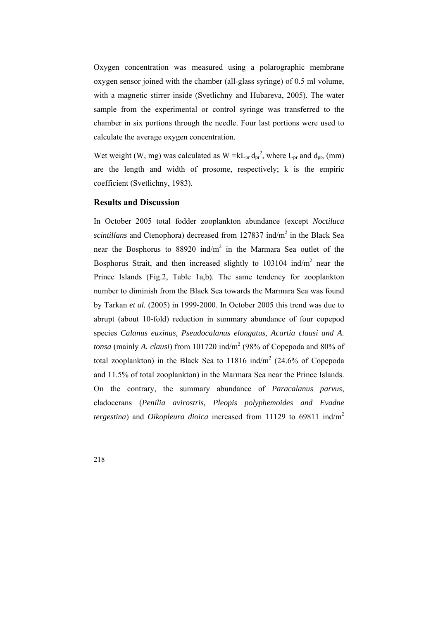Oxygen concentration was measured using a polarographic membrane oxygen sensor joined with the chamber (all-glass syringe) of 0.5 ml volume, with a magnetic stirrer inside (Svetlichny and Hubareva, 2005). The water sample from the experimental or control syringe was transferred to the chamber in six portions through the needle. Four last portions were used to calculate the average oxygen concentration.

Wet weight (W, mg) was calculated as  $W = kL_{pr} d_{pr}^2$ , where  $L_{pr}$  and  $d_{pr}$ , (mm) are the length and width of prosome, respectively; k is the empiric coefficient (Svetlichny, 1983).

#### **Results and Discussion**

In October 2005 total fodder zooplankton abundance (except *Noctiluca*  scintillans and Ctenophora) decreased from 127837 ind/m<sup>2</sup> in the Black Sea near the Bosphorus to 88920 ind/m<sup>2</sup> in the Marmara Sea outlet of the Bosphorus Strait, and then increased slightly to  $103104$  ind/m<sup>2</sup> near the Prince Islands (Fig.2, Table 1a,b). The same tendency for zooplankton number to diminish from the Black Sea towards the Marmara Sea was found by Tarkan *et al.* (2005) in 1999-2000. In October 2005 this trend was due to abrupt (about 10-fold) reduction in summary abundance of four copepod species *Calanus euxinus, Pseudocalanus elongatus, Acartia clausi and A. tonsa* (mainly *A. clausi*) from 101720 ind/m<sup>2</sup> (98% of Copepoda and 80% of total zooplankton) in the Black Sea to 11816 ind/ $m<sup>2</sup>$  (24.6% of Copepoda and 11.5% of total zooplankton) in the Marmara Sea near the Prince Islands. On the contrary, the summary abundance of *Paracalanus parvus*, cladocerans (*Penilia avirostris, Pleopis polyphemoides and Evadne tergestina*) and *Oikopleura dioica* increased from 11129 to 69811 ind/m2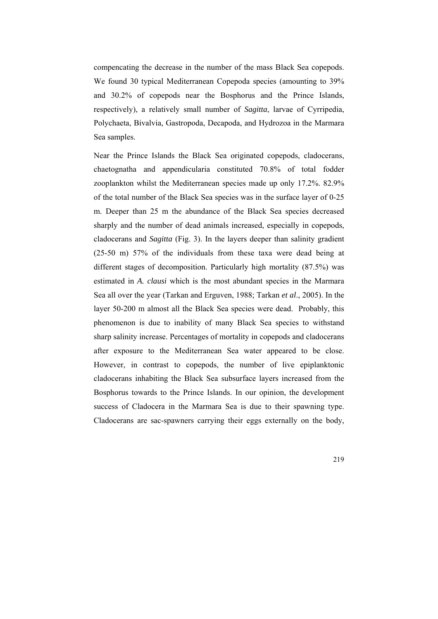compencating the decrease in the number of the mass Black Sea copepods. We found 30 typical Mediterranean Copepoda species (amounting to 39% and 30.2% of copepods near the Bosphorus and the Prince Islands, respectively), a relatively small number of *Sagitta*, larvae of Cyrripedia, Polychaeta, Bivalvia, Gastropoda, Decapoda, and Hydrozoa in the Marmara Sea samples.

Near the Prince Islands the Black Sea originated copepods, cladocerans, chaetognatha and appendicularia constituted 70.8% of total fodder zooplankton whilst the Mediterranean species made up only 17.2%. 82.9% of the total number of the Black Sea species was in the surface layer of 0-25 m. Deeper than 25 m the abundance of the Black Sea species decreased sharply and the number of dead animals increased, especially in copepods, cladocerans and *Sagitta* (Fig. 3). In the layers deeper than salinity gradient (25-50 m) 57% of the individuals from these taxa were dead being at different stages of decomposition. Particularly high mortality (87.5%) was estimated in *A. clausi* which is the most abundant species in the Marmara Sea all over the year (Tarkan and Erguven, 1988; Tarkan *et al*., 2005). In the layer 50-200 m almost all the Black Sea species were dead. Probably, this phenomenon is due to inability of many Black Sea species to withstand sharp salinity increase. Percentages of mortality in copepods and cladocerans after exposure to the Mediterranean Sea water appeared to be close. However, in contrast to copepods, the number of live epiplanktonic cladocerans inhabiting the Black Sea subsurface layers increased from the Bosphorus towards to the Prince Islands. In our opinion, the development success of Cladocera in the Marmara Sea is due to their spawning type. Cladocerans are sac-spawners carrying their eggs externally on the body,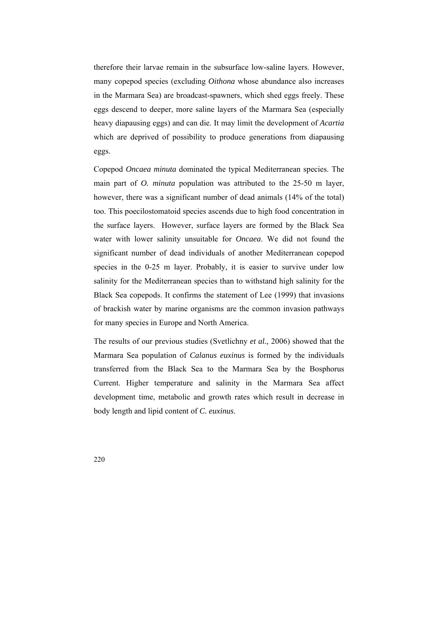therefore their larvae remain in the subsurface low-saline layers. However, many copepod species (excluding *Oithona* whose abundance also increases in the Marmara Sea) are broadcast-spawners, which shed eggs freely. These eggs descend to deeper, more saline layers of the Marmara Sea (especially heavy diapausing eggs) and can die. It may limit the development of *Acartia* which are deprived of possibility to produce generations from diapausing eggs.

Copepod *Oncaea minuta* dominated the typical Mediterranean species. The main part of *O. minuta* population was attributed to the 25-50 m layer, however, there was a significant number of dead animals (14% of the total) too. This poecilostomatoid species ascends due to high food concentration in the surface layers. However, surface layers are formed by the Black Sea water with lower salinity unsuitable for *Oncaea*. We did not found the significant number of dead individuals of another Mediterranean copepod species in the 0-25 m layer. Probably, it is easier to survive under low salinity for the Mediterranean species than to withstand high salinity for the Black Sea copepods. It confirms the statement of Lee (1999) that invasions of brackish water by marine organisms are the common invasion pathways for many species in Europe and North America.

The results of our previous studies (Svetlichny *et al.,* 2006) showed that the Marmara Sea population of *Calanus euxinus* is formed by the individuals transferred from the Black Sea to the Marmara Sea by the Bosphorus Current. Higher temperature and salinity in the Marmara Sea affect development time, metabolic and growth rates which result in decrease in body length and lipid content of *C. euxinus*.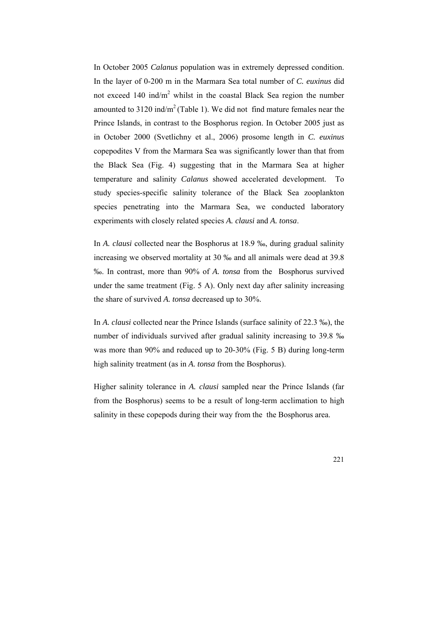In October 2005 *Calanus* population was in extremely depressed condition. In the layer of 0-200 m in the Marmara Sea total number of *C. euxinus* did not exceed 140 ind/m<sup>2</sup> whilst in the coastal Black Sea region the number amounted to  $3120$  ind/m<sup>2</sup> (Table 1). We did not find mature females near the Prince Islands, in contrast to the Bosphorus region. In October 2005 just as in October 2000 (Svetlichny et al., 2006) prosome length in *C. euxinus* copepodites V from the Marmara Sea was significantly lower than that from the Black Sea (Fig. 4) suggesting that in the Marmara Sea at higher temperature and salinity *Calanus* showed accelerated development. To study species-specific salinity tolerance of the Black Sea zooplankton species penetrating into the Marmara Sea, we conducted laboratory experiments with closely related species *A. clausi* and *A. tonsa*.

In *A. clausi* collected near the Bosphorus at 18.9 ‰, during gradual salinity increasing we observed mortality at 30 ‰ and all animals were dead at 39.8 ‰. In contrast, more than 90% of *A. tonsa* from the Bosphorus survived under the same treatment (Fig. 5 A). Only next day after salinity increasing the share of survived *A. tonsa* decreased up to 30%.

In *A. clausi* collected near the Prince Islands (surface salinity of 22.3 ‰), the number of individuals survived after gradual salinity increasing to 39.8 ‰ was more than 90% and reduced up to 20-30% (Fig. 5 B) during long-term high salinity treatment (as in *A. tonsa* from the Bosphorus).

Higher salinity tolerance in *A. clausi* sampled near the Prince Islands (far from the Bosphorus) seems to be a result of long-term acclimation to high salinity in these copepods during their way from the the Bosphorus area.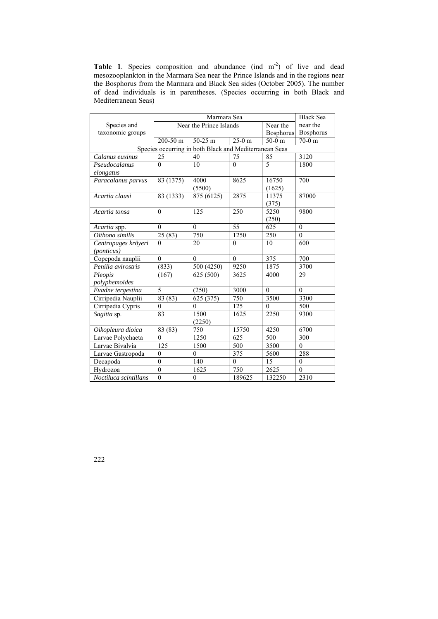Table 1. Species composition and abundance (ind m<sup>-2</sup>) of live and dead mesozooplankton in the Marmara Sea near the Prince Islands and in the regions near the Bosphorus from the Marmara and Black Sea sides (October 2005). The number of dead individuals is in parentheses. (Species occurring in both Black and Mediterranean Seas)

|                                                        |                        |                         | <b>Black Sea</b> |          |                  |  |  |  |  |
|--------------------------------------------------------|------------------------|-------------------------|------------------|----------|------------------|--|--|--|--|
| Species and                                            |                        | Near the Prince Islands | Near the         | near the |                  |  |  |  |  |
| taxonomic groups                                       | Bosphorus              |                         |                  |          | Bosphorus        |  |  |  |  |
|                                                        | $\overline{200}$ -50 m | 50-25 m                 | $25-0$ m         | $50-0$ m | $70-0$ m         |  |  |  |  |
| Species occurring in both Black and Mediterranean Seas |                        |                         |                  |          |                  |  |  |  |  |
| Calanus euxinus                                        | 25                     | 40                      | 75               | 85       | 3120             |  |  |  |  |
| Pseudocalanus                                          | $\theta$               | 10                      | $\Omega$         | 5        | 1800             |  |  |  |  |
| elongatus                                              |                        |                         |                  |          |                  |  |  |  |  |
| Paracalanus parvus                                     | 83 (1375)              | 4000                    | 8625             | 16750    | 700              |  |  |  |  |
|                                                        |                        | (5500)                  |                  | (1625)   |                  |  |  |  |  |
| Acartia clausi                                         | 83(1333)               | 875(6125)               | 2875             | 11375    | 87000            |  |  |  |  |
|                                                        |                        |                         |                  | (375)    |                  |  |  |  |  |
| Acartia tonsa                                          | $\theta$               | 125                     | 250              | 5250     | 9800             |  |  |  |  |
|                                                        |                        |                         |                  | (250)    |                  |  |  |  |  |
| Acartia spp.                                           | $\theta$               | $\theta$                | 55               | 625      | $\theta$         |  |  |  |  |
| Oithona similis                                        | 25(83)                 | 750                     | 1250             | 250      | $\theta$         |  |  |  |  |
| Centropages kröyeri                                    | $\theta$               | 20                      | $\theta$         | 10       | 600              |  |  |  |  |
| (ponticus)                                             |                        |                         |                  |          |                  |  |  |  |  |
| Copepoda nauplii                                       | $\mathbf{0}$           | $\theta$                | $\theta$         | 375      | 700              |  |  |  |  |
| Penilia avirostris                                     | (833)                  | 500 (4250)              | 9250             | 1875     | 3700             |  |  |  |  |
| Pleopis                                                | (167)                  | 625 (500)               | 3625             | 4000     | 29               |  |  |  |  |
| polyphemoides                                          |                        |                         |                  |          |                  |  |  |  |  |
| Evadne tergestina                                      | 5                      | (250)                   | 3000             | $\Omega$ | $\theta$         |  |  |  |  |
| Cirripedia Nauplii                                     | $\overline{83}$ (83)   | 625(375)                | 750              | 3500     | 3300             |  |  |  |  |
| Cirripedia Cypris                                      | $\boldsymbol{0}$       | $\theta$                | 125              | $\theta$ | 500              |  |  |  |  |
| Sagitta sp.                                            | 83                     | 1500                    | 1625             | 2250     | 9300             |  |  |  |  |
|                                                        |                        | (2250)                  |                  |          |                  |  |  |  |  |
| Oikopleura dioica                                      | 83 (83)                | 750                     | 15750            | 4250     | 6700             |  |  |  |  |
| Larvae Polychaeta                                      | $\mathbf{0}$           | 1250                    | 625              | 500      | 300              |  |  |  |  |
| Larvae Bivalvia                                        | 125                    | 1500                    | 500              | 3500     | $\theta$         |  |  |  |  |
| Larvae Gastropoda                                      | $\overline{0}$         | $\theta$                | 375              | 5600     | 288              |  |  |  |  |
| Decapoda                                               | $\overline{0}$         | 140                     | $\mathbf{0}$     | 15       | $\boldsymbol{0}$ |  |  |  |  |
| Hydrozoa                                               | $\overline{0}$         | 1625                    | 750              | 2625     | $\theta$         |  |  |  |  |
| Noctiluca scintillans                                  | $\theta$               | $\mathbf{0}$            | 189625           | 132250   | 2310             |  |  |  |  |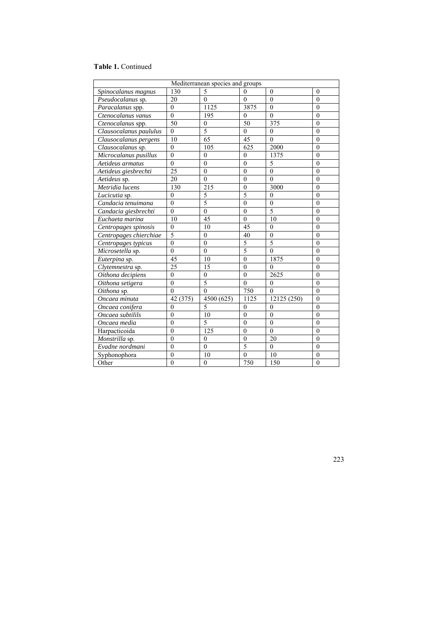# **Table 1.** Continued

| Mediterranean species and groups |                |                  |                |                  |                  |  |  |  |
|----------------------------------|----------------|------------------|----------------|------------------|------------------|--|--|--|
| Spinocalanus magnus              | 130            | 5                | 0              | $\theta$         | $\overline{0}$   |  |  |  |
| Pseudocalanus sp.                | 20             | $\theta$         | $\theta$       | $\theta$         | $\theta$         |  |  |  |
| Paracalanus spp.                 | $\mathbf{0}$   | 1125             | 3875           | $\mathbf{0}$     | $\theta$         |  |  |  |
| Ctenocalanus vanus               | $\theta$       | 195              | $\theta$       | $\theta$         | $\overline{0}$   |  |  |  |
| Ctenocalanus spp.                | 50             | $\theta$         | 50             | 375              | $\theta$         |  |  |  |
| Clausocalanus paululus           | $\theta$       | 5                | $\theta$       | $\theta$         | $\theta$         |  |  |  |
| Clausocalanus pergens            | 10             | 65               | 45             | $\theta$         | $\theta$         |  |  |  |
| Clausocalanus sp.                | $\theta$       | 105              | 625            | 2000             | $\theta$         |  |  |  |
| Microcalanus pusillus            | $\theta$       | $\theta$         | $\theta$       | 1375             | $\theta$         |  |  |  |
| Aetideus armatus                 | $\theta$       | $\overline{0}$   | $\theta$       | 5                | $\theta$         |  |  |  |
| Aetideus giesbrechti             | 25             | $\theta$         | $\theta$       | $\theta$         | $\theta$         |  |  |  |
| Aetideus sp.                     | 20             | $\theta$         | $\mathbf{0}$   | $\theta$         | $\theta$         |  |  |  |
| Metridia lucens                  | 130            | $\overline{215}$ | $\overline{0}$ | 3000             | $\overline{0}$   |  |  |  |
| Lucicutia sp.                    | $\theta$       | 5                | $\overline{5}$ | $\mathbf{0}$     | $\theta$         |  |  |  |
| Candacia tenuimana               | $\mathbf{0}$   | $\overline{5}$   | $\overline{0}$ | $\boldsymbol{0}$ | $\overline{0}$   |  |  |  |
| Candacia giesbrechti             | $\theta$       | $\theta$         | $\theta$       | 5                | $\theta$         |  |  |  |
| Euchaeta marina                  | 10             | 45               | $\theta$       | 10               | $\mathbf{0}$     |  |  |  |
| Centropages spinosis             | $\mathbf{0}$   | 10               | 45             | $\mathbf{0}$     | $\overline{0}$   |  |  |  |
| Centropages chierchiae           | $\overline{5}$ | $\theta$         | 40             | $\theta$         | $\theta$         |  |  |  |
| Centropages typicus              | $\theta$       | $\theta$         | 5              | 5                | $\theta$         |  |  |  |
| Microsetella sp.                 | $\theta$       | $\theta$         | $\overline{5}$ | $\theta$         | $\theta$         |  |  |  |
| Euterpina sp.                    | 45             | 10               | $\theta$       | 1875             | $\theta$         |  |  |  |
| Clytemnestra sp.                 | 25             | 15               | $\theta$       | $\theta$         | $\theta$         |  |  |  |
| Oithona decipiens                | $\theta$       | $\theta$         | $\theta$       | 2625             | $\theta$         |  |  |  |
| Oithona setigera                 | $\overline{0}$ | $\overline{5}$   | $\theta$       | $\Omega$         | $\theta$         |  |  |  |
| Oithona sp.                      | $\overline{0}$ | $\theta$         | 750            | $\theta$         | $\boldsymbol{0}$ |  |  |  |
| Oncaea minuta                    | 42 (375)       | 4500 (625)       | 1125           | 12125 (250)      | $\theta$         |  |  |  |
| Oncaea conifera                  | $\theta$       | 5                | $\mathbf{0}$   | $\theta$         | $\mathbf{0}$     |  |  |  |
| Oncaea subtilils                 | $\mathbf{0}$   | 10               | $\overline{0}$ | $\boldsymbol{0}$ | $\boldsymbol{0}$ |  |  |  |
| Oncaea media                     | $\theta$       | 5                | $\theta$       | $\theta$         | $\theta$         |  |  |  |
| Harpacticoida                    | $\theta$       | 125              | $\theta$       | $\theta$         | $\theta$         |  |  |  |
| Monstrilla sp.                   | $\theta$       | $\theta$         | $\theta$       | 20               | $\mathbf{0}$     |  |  |  |
| Evadne nordmani                  | $\theta$       | $\theta$         | $\overline{5}$ | $\theta$         | $\theta$         |  |  |  |
| Syphonophora                     | $\overline{0}$ | 10               | $\theta$       | 10               | $\overline{0}$   |  |  |  |
| Other                            | $\overline{0}$ | $\boldsymbol{0}$ | 750            | 150              | $\boldsymbol{0}$ |  |  |  |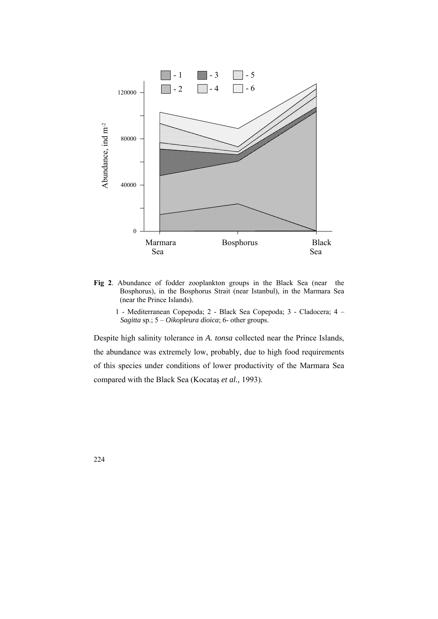

- **Fig 2**. Abundance of fodder zooplankton groups in the Black Sea (near the Bosphorus), in the Bosphorus Strait (near Istanbul), in the Marmara Sea (near the Prince Islands).
	- 1 Mediterranean Copepoda; 2 Black Sea Copepoda; 3 Cladocera; 4 *Sagitta* sp.; 5 – *Oikopleura dioica*; 6- other groups.

Despite high salinity tolerance in *A. tonsa* collected near the Prince Islands, the abundance was extremely low, probably, due to high food requirements of this species under conditions of lower productivity of the Marmara Sea compared with the Black Sea (Kocataş *et al.,* 1993).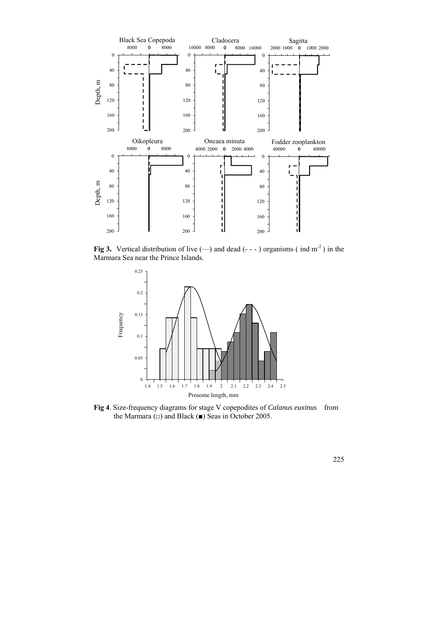

**Fig 3.** Vertical distribution of live  $(-)$  and dead  $(- - )$  organisms (ind m<sup>-2</sup>) in the Marmara Sea near the Prince Islands.



**Fig 4**. Size-frequency diagrams for stage V copepodites of *Calanus euxinus* from the Marmara ( $\Box$ ) and Black (■) Seas in October 2005.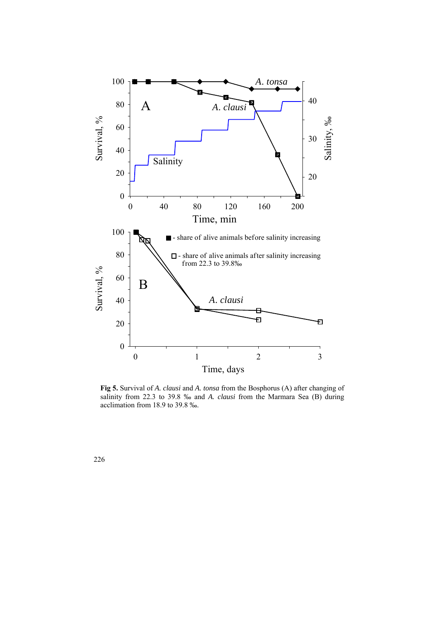

**Fig 5.** Survival of *A. clausi* and *A. tonsa* from the Bosphorus (A) after changing of salinity from 22.3 to 39.8 ‰ and *A. clausi* from the Marmara Sea (B) during acclimation from 18.9 to 39.8 ‰.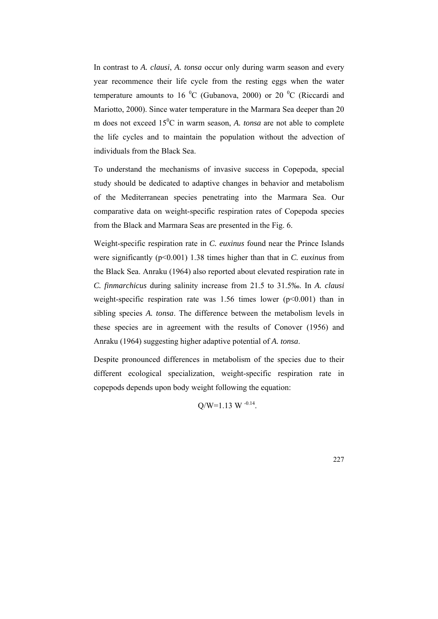In contrast to *A. clausi*, *A. tonsa* occur only during warm season and every year recommence their life cycle from the resting eggs when the water temperature amounts to 16  $^0C$  (Gubanova, 2000) or 20  $^0C$  (Riccardi and Mariotto, 2000). Since water temperature in the Marmara Sea deeper than 20 m does not exceed 15<sup>°</sup>C in warm season, *A. tonsa* are not able to complete the life cycles and to maintain the population without the advection of individuals from the Black Sea.

To understand the mechanisms of invasive success in Copepoda, special study should be dedicated to adaptive changes in behavior and metabolism of the Mediterranean species penetrating into the Marmara Sea. Our comparative data on weight-specific respiration rates of Copepoda species from the Black and Marmara Seas are presented in the Fig. 6.

Weight-specific respiration rate in *C. euxinus* found near the Prince Islands were significantly (p<0.001) 1.38 times higher than that in *C. euxinus* from the Black Sea. Anraku (1964) also reported about elevated respiration rate in *C. finmarchicus* during salinity increase from 21.5 to 31.5‰. In *A. clausi*  weight-specific respiration rate was  $1.56$  times lower ( $p \le 0.001$ ) than in sibling species *A. tonsa*. The difference between the metabolism levels in these species are in agreement with the results of Conover (1956) and Anraku (1964) suggesting higher adaptive potential of *A. tonsa*.

Despite pronounced differences in metabolism of the species due to their different ecological specialization, weight-specific respiration rate in copepods depends upon body weight following the equation:

 $O/W=1.13$  W  $-0.14$ .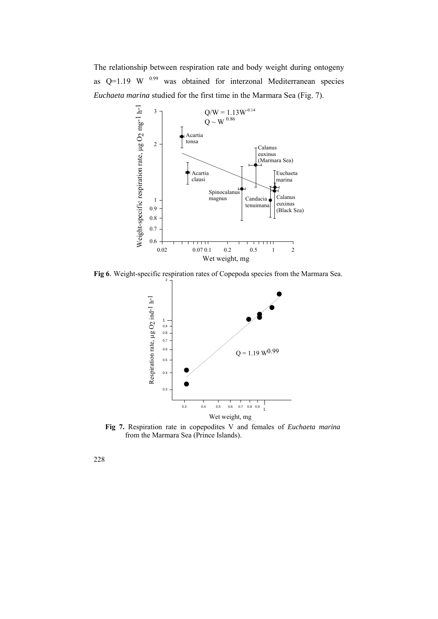The relationship between respiration rate and body weight during ontogeny as  $Q=1.19$  W  $^{0.99}$  was obtained for interzonal Mediterranean species *Euchaeta marina* studied for the first time in the Marmara Sea (Fig. 7).



**Fig 6**. Weight-specific respiration rates of Copepoda species from the Marmara Sea.



**Fig 7.** Respiration rate in copepodites V and females of *Euchaeta marina*  from the Marmara Sea (Prince Islands).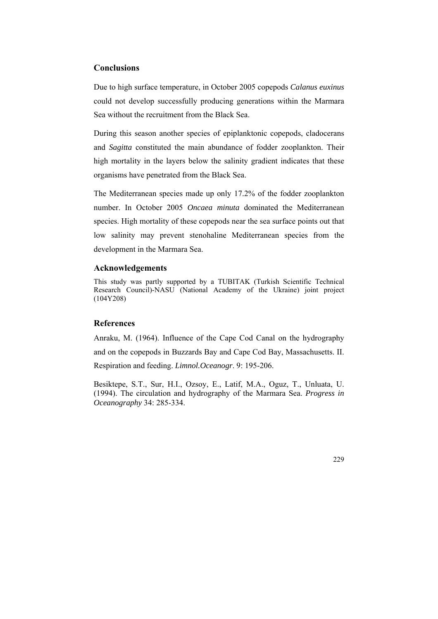## **Conclusions**

Due to high surface temperature, in October 2005 copepods *Calanus euxinus* could not develop successfully producing generations within the Marmara Sea without the recruitment from the Black Sea.

During this season another species of epiplanktonic copepods, cladocerans and *Sagitta* constituted the main abundance of fodder zooplankton. Their high mortality in the layers below the salinity gradient indicates that these organisms have penetrated from the Black Sea.

The Mediterranean species made up only 17.2% of the fodder zooplankton number. In October 2005 *Oncaea minuta* dominated the Mediterranean species. High mortality of these copepods near the sea surface points out that low salinity may prevent stenohaline Mediterranean species from the development in the Marmara Sea.

### **Acknowledgements**

This study was partly supported by a TUBITAK (Turkish Scientific Technical Research Council)-NASU (National Academy of the Ukraine) joint project (104Y208)

#### **References**

Anraku, M. (1964). Influence of the Cape Cod Canal on the hydrography and on the copepods in Buzzards Bay and Cape Cod Bay, Massachusetts. II. Respiration and feeding. *Limnol.Oceanogr*. 9: 195-206.

Besiktepe, S.T., Sur, H.I., Ozsoy, E., Latif, M.A., Oguz, T., Unluata, U. (1994). The circulation and hydrography of the Marmara Sea. *Progress in Oceanography* 34: 285-334.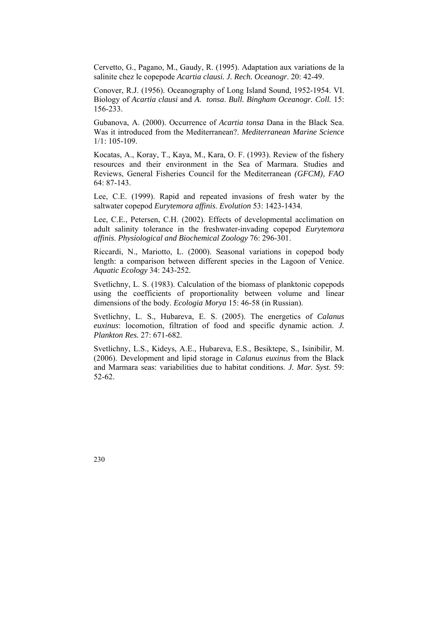Cervetto, G., Pagano, M., Gaudy, R. (1995). Adaptation aux variations de la salinite chez le copepode *Acartia clausi. J. Rech. Oceanogr*. 20: 42-49.

Conover, R.J. (1956). Oceanography of Long Island Sound, 1952-1954. VI. Biology of *Acartia clausi* and *A*. *tonsa*. *Bull. Bingham Oceanogr. Coll.* 15: 156-233.

Gubanova, A. (2000). Occurrence of *Acartia tonsa* Dana in the Black Sea. Was it introduced from the Mediterranean?. *Mediterranean Marine Science* 1/1: 105-109.

Kocatas, A., Koray, T., Kaya, M., Kara, O. F. (1993). Review of the fishery resources and their environment in the Sea of Marmara. Studies and Reviews, General Fisheries Council for the Mediterranean *(GFCM), FAO*  64: 87-143.

Lee, C.E. (1999). Rapid and repeated invasions of fresh water by the saltwater copepod *Eurytemora affinis*. *Evolution* 53: 1423-1434.

Lee, C.E., Petersen, C.H. (2002). Effects of developmental acclimation on adult salinity tolerance in the freshwater-invading copepod *Eurytemora affinis*. *Physiological and Biochemical Zoology* 76: 296-301.

Riccardi, N., Mariotto, L. (2000). Seasonal variations in copepod body length: a comparison between different species in the Lagoon of Venice. *Aquatic Ecology* 34: 243-252.

Svetlichny, L. S. (1983). Calculation of the biomass of planktonic copepods using the coefficients of proportionality between volume and linear dimensions of the body. *Ecologia Morya* 15: 46-58 (in Russian).

Svetlichny, L. S., Hubareva, E. S. (2005). The energetics of *Calanus euxinus*: locomotion, filtration of food and specific dynamic action. *J. Plankton Res.* 27: 671-682.

Svetlichny, L.S., Kideys, A.E., Hubareva, E.S., Besiktepe, S., Isinibilir, M. (2006). Development and lipid storage in *Calanus euxinus* from the Black and Marmara seas: variabilities due to habitat conditions. *J. Mar. Syst.* 59: 52-62.